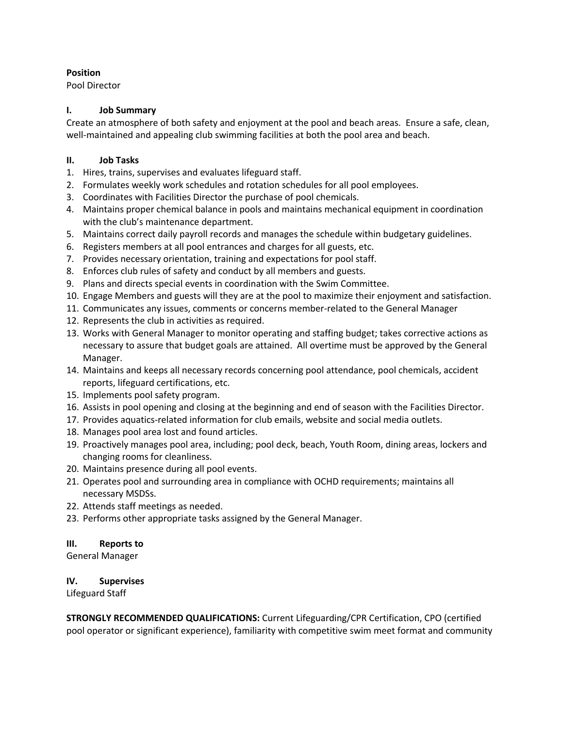#### **Position**

Pool Director

#### **I. Job Summary**

Create an atmosphere of both safety and enjoyment at the pool and beach areas. Ensure a safe, clean, well-maintained and appealing club swimming facilities at both the pool area and beach.

#### **II. Job Tasks**

- 1. Hires, trains, supervises and evaluates lifeguard staff.
- 2. Formulates weekly work schedules and rotation schedules for all pool employees.
- 3. Coordinates with Facilities Director the purchase of pool chemicals.
- 4. Maintains proper chemical balance in pools and maintains mechanical equipment in coordination with the club's maintenance department.
- 5. Maintains correct daily payroll records and manages the schedule within budgetary guidelines.
- 6. Registers members at all pool entrances and charges for all guests, etc.
- 7. Provides necessary orientation, training and expectations for pool staff.
- 8. Enforces club rules of safety and conduct by all members and guests.
- 9. Plans and directs special events in coordination with the Swim Committee.
- 10. Engage Members and guests will they are at the pool to maximize their enjoyment and satisfaction.
- 11. Communicates any issues, comments or concerns member-related to the General Manager
- 12. Represents the club in activities as required.
- 13. Works with General Manager to monitor operating and staffing budget; takes corrective actions as necessary to assure that budget goals are attained. All overtime must be approved by the General Manager.
- 14. Maintains and keeps all necessary records concerning pool attendance, pool chemicals, accident reports, lifeguard certifications, etc.
- 15. Implements pool safety program.
- 16. Assists in pool opening and closing at the beginning and end of season with the Facilities Director.
- 17. Provides aquatics-related information for club emails, website and social media outlets.
- 18. Manages pool area lost and found articles.
- 19. Proactively manages pool area, including; pool deck, beach, Youth Room, dining areas, lockers and changing rooms for cleanliness.
- 20. Maintains presence during all pool events.
- 21. Operates pool and surrounding area in compliance with OCHD requirements; maintains all necessary MSDSs.
- 22. Attends staff meetings as needed.
- 23. Performs other appropriate tasks assigned by the General Manager.

#### **III. Reports to**

General Manager

#### **IV. Supervises**

Lifeguard Staff

**STRONGLY RECOMMENDED QUALIFICATIONS:** Current Lifeguarding/CPR Certification, CPO (certified pool operator or significant experience), familiarity with competitive swim meet format and community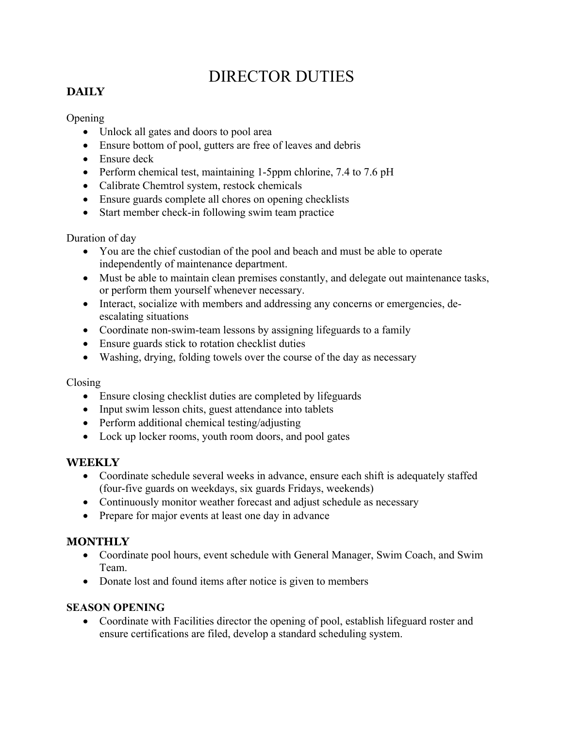# DIRECTOR DUTIES

## **DAILY**

## Opening

- Unlock all gates and doors to pool area
- Ensure bottom of pool, gutters are free of leaves and debris
- Ensure deck
- Perform chemical test, maintaining 1-5ppm chlorine, 7.4 to 7.6 pH
- Calibrate Chemtrol system, restock chemicals
- Ensure guards complete all chores on opening checklists
- Start member check-in following swim team practice

## Duration of day

- You are the chief custodian of the pool and beach and must be able to operate independently of maintenance department.
- Must be able to maintain clean premises constantly, and delegate out maintenance tasks, or perform them yourself whenever necessary.
- Interact, socialize with members and addressing any concerns or emergencies, deescalating situations
- Coordinate non-swim-team lessons by assigning lifeguards to a family
- Ensure guards stick to rotation checklist duties
- Washing, drying, folding towels over the course of the day as necessary

### Closing

- Ensure closing checklist duties are completed by lifeguards
- Input swim lesson chits, guest attendance into tablets
- Perform additional chemical testing/adjusting
- Lock up locker rooms, youth room doors, and pool gates

## **WEEKLY**

- Coordinate schedule several weeks in advance, ensure each shift is adequately staffed (four-five guards on weekdays, six guards Fridays, weekends)
- Continuously monitor weather forecast and adjust schedule as necessary
- Prepare for major events at least one day in advance

## **MONTHLY**

- Coordinate pool hours, event schedule with General Manager, Swim Coach, and Swim Team.
- Donate lost and found items after notice is given to members

### **SEASON OPENING**

• Coordinate with Facilities director the opening of pool, establish lifeguard roster and ensure certifications are filed, develop a standard scheduling system.